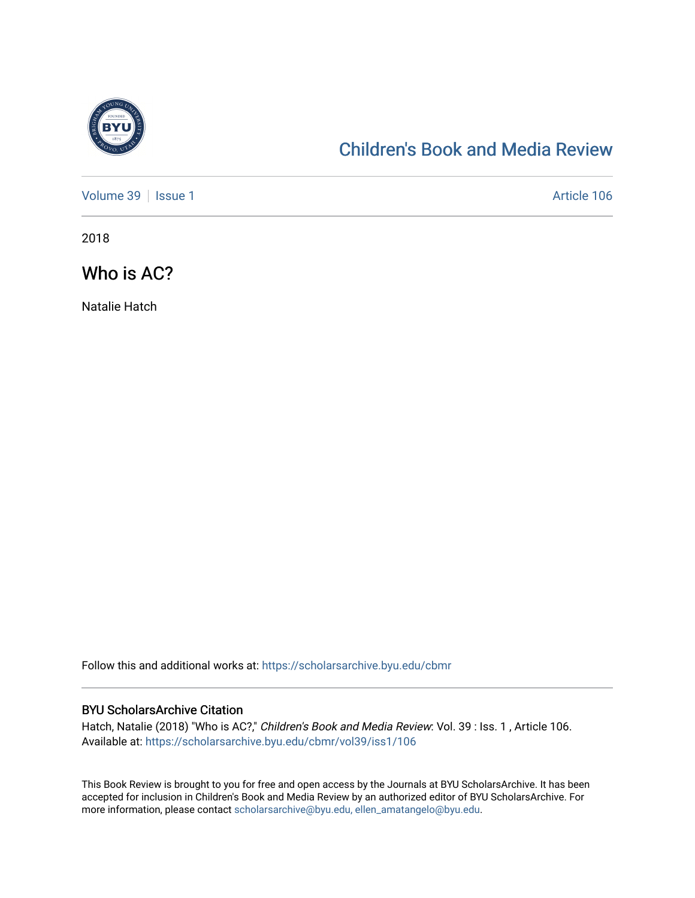

## [Children's Book and Media Review](https://scholarsarchive.byu.edu/cbmr)

[Volume 39](https://scholarsarchive.byu.edu/cbmr/vol39) | [Issue 1](https://scholarsarchive.byu.edu/cbmr/vol39/iss1) Article 106

2018

Who is AC?

Natalie Hatch

Follow this and additional works at: [https://scholarsarchive.byu.edu/cbmr](https://scholarsarchive.byu.edu/cbmr?utm_source=scholarsarchive.byu.edu%2Fcbmr%2Fvol39%2Fiss1%2F106&utm_medium=PDF&utm_campaign=PDFCoverPages) 

### BYU ScholarsArchive Citation

Hatch, Natalie (2018) "Who is AC?," Children's Book and Media Review: Vol. 39 : Iss. 1 , Article 106. Available at: [https://scholarsarchive.byu.edu/cbmr/vol39/iss1/106](https://scholarsarchive.byu.edu/cbmr/vol39/iss1/106?utm_source=scholarsarchive.byu.edu%2Fcbmr%2Fvol39%2Fiss1%2F106&utm_medium=PDF&utm_campaign=PDFCoverPages) 

This Book Review is brought to you for free and open access by the Journals at BYU ScholarsArchive. It has been accepted for inclusion in Children's Book and Media Review by an authorized editor of BYU ScholarsArchive. For more information, please contact [scholarsarchive@byu.edu, ellen\\_amatangelo@byu.edu.](mailto:scholarsarchive@byu.edu,%20ellen_amatangelo@byu.edu)